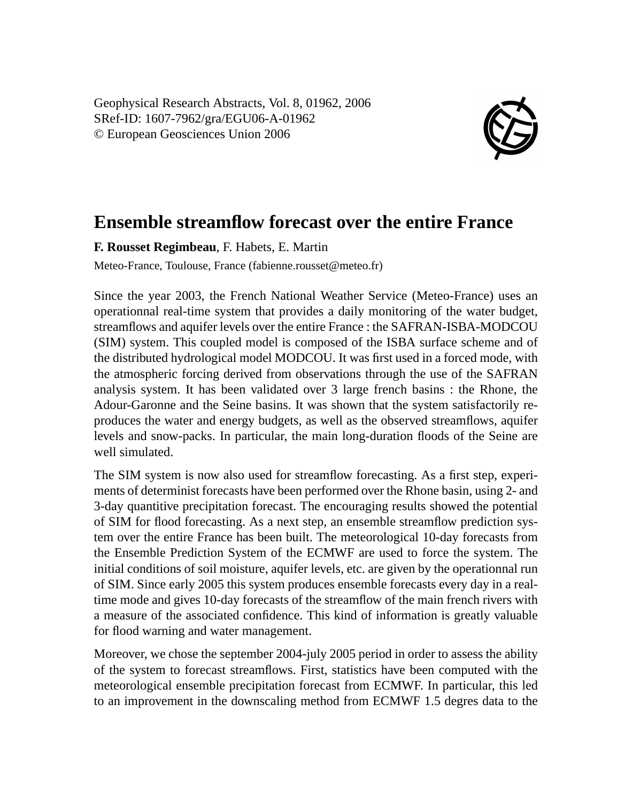Geophysical Research Abstracts, Vol. 8, 01962, 2006 SRef-ID: 1607-7962/gra/EGU06-A-01962 © European Geosciences Union 2006



## **Ensemble streamflow forecast over the entire France**

**F. Rousset Regimbeau**, F. Habets, E. Martin

Meteo-France, Toulouse, France (fabienne.rousset@meteo.fr)

Since the year 2003, the French National Weather Service (Meteo-France) uses an operationnal real-time system that provides a daily monitoring of the water budget, streamflows and aquifer levels over the entire France : the SAFRAN-ISBA-MODCOU (SIM) system. This coupled model is composed of the ISBA surface scheme and of the distributed hydrological model MODCOU. It was first used in a forced mode, with the atmospheric forcing derived from observations through the use of the SAFRAN analysis system. It has been validated over 3 large french basins : the Rhone, the Adour-Garonne and the Seine basins. It was shown that the system satisfactorily reproduces the water and energy budgets, as well as the observed streamflows, aquifer levels and snow-packs. In particular, the main long-duration floods of the Seine are well simulated.

The SIM system is now also used for streamflow forecasting. As a first step, experiments of determinist forecasts have been performed over the Rhone basin, using 2- and 3-day quantitive precipitation forecast. The encouraging results showed the potential of SIM for flood forecasting. As a next step, an ensemble streamflow prediction system over the entire France has been built. The meteorological 10-day forecasts from the Ensemble Prediction System of the ECMWF are used to force the system. The initial conditions of soil moisture, aquifer levels, etc. are given by the operationnal run of SIM. Since early 2005 this system produces ensemble forecasts every day in a realtime mode and gives 10-day forecasts of the streamflow of the main french rivers with a measure of the associated confidence. This kind of information is greatly valuable for flood warning and water management.

Moreover, we chose the september 2004-july 2005 period in order to assess the ability of the system to forecast streamflows. First, statistics have been computed with the meteorological ensemble precipitation forecast from ECMWF. In particular, this led to an improvement in the downscaling method from ECMWF 1.5 degres data to the